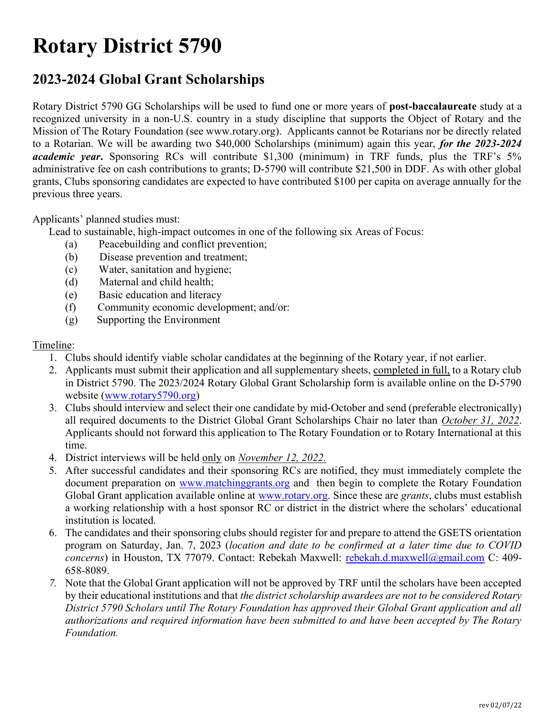# Rotary District 5790

## 2023-2024 Global Grant Scholarships

Rotary District 5790 GG Scholarships will be used to fund one or more years of post-baccalaureate study at a recognized university in a non-U.S. country in a study discipline that supports the Object of Rotary and the Mission of The Rotary Foundation (see www.rotary.org). Applicants cannot be Rotarians nor be directly related to a Rotarian. We will be awarding two \$40,000 Scholarships (minimum) again this year, for the 2023-2024 academic year. Sponsoring RCs will contribute \$1,300 (minimum) in TRF funds, plus the TRF's 5% administrative fee on cash contributions to grants; D-5790 will contribute \$21,500 in DDF. As with other global grants, Clubs sponsoring candidates are expected to have contributed \$100 per capita on average annually for the previous three years.

Applicants' planned studies must:

Lead to sustainable, high-impact outcomes in one of the following six Areas of Focus:

- (a) Peacebuilding and conflict prevention;
- (b) Disease prevention and treatment;
- (c) Water, sanitation and hygiene;
- (d) Maternal and child health;
- (e) Basic education and literacy
- (f) Community economic development; and/or:
- (g) Supporting the Environment

#### Timeline:

- 1. Clubs should identify viable scholar candidates at the beginning of the Rotary year, if not earlier.
- 2. Applicants must submit their application and all supplementary sheets, completed in full, to a Rotary club in District 5790. The 2023/2024 Rotary Global Grant Scholarship form is available online on the D-5790 website (www.rotary5790.org)
- 3. Clubs should interview and select their one candidate by mid-October and send (preferable electronically) all required documents to the District Global Grant Scholarships Chair no later than October 31, 2022. Applicants should not forward this application to The Rotary Foundation or to Rotary International at this time.
- 4. District interviews will be held only on November 12, 2022.
- 5. After successful candidates and their sponsoring RCs are notified, they must immediately complete the document preparation on www.matchinggrants.org and then begin to complete the Rotary Foundation Global Grant application available online at www.rotary.org. Since these are grants, clubs must establish a working relationship with a host sponsor RC or district in the district where the scholars' educational institution is located.
- 6. The candidates and their sponsoring clubs should register for and prepare to attend the GSETS orientation program on Saturday, Jan. 7, 2023 (location and date to be confirmed at a later time due to COVID concerns) in Houston, TX 77079. Contact: Rebekah Maxwell: rebekah.d.maxwell@gmail.com C: 409-658-8089.
- 7. Note that the Global Grant application will not be approved by TRF until the scholars have been accepted by their educational institutions and that the district scholarship awardees are not to be considered Rotary District 5790 Scholars until The Rotary Foundation has approved their Global Grant application and all authorizations and required information have been submitted to and have been accepted by The Rotary Foundation.